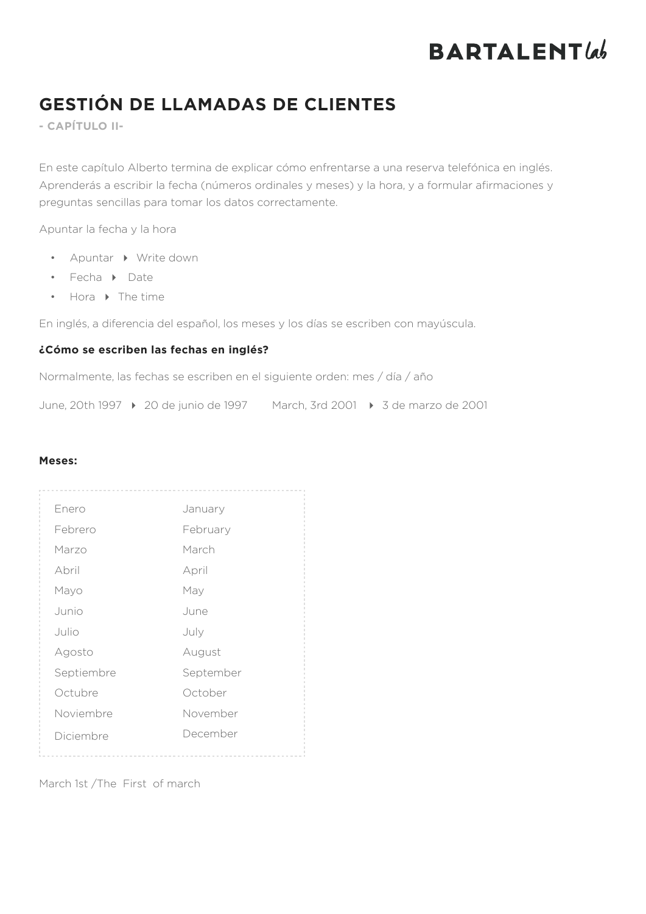# **BARTALENT***lab*

# **GESTIÓN DE LLAMADAS DE CLIENTES**

**- CAPÍTULO II-**

En este capítulo Alberto termina de explicar cómo enfrentarse a una reserva telefónica en inglés. Aprenderás a escribir la fecha (números ordinales y meses) y la hora, y a formular afirmaciones y preguntas sencillas para tomar los datos correctamente.

Apuntar la fecha y la hora

- Apuntar Write down
- Fecha Date
- $\bullet$  Hora  $\bullet$  The time

En inglés, a diferencia del español, los meses y los días se escriben con mayúscula.

## **¿Cómo se escriben las fechas en inglés?**

Normalmente, las fechas se escriben en el siguiente orden: mes / día / año

June, 20th 1997 4 20 de junio de 1997 March, 3rd 2001 4 3 de marzo de 2001

### **Meses:**

| Enero      | January   |
|------------|-----------|
| Febrero    | February  |
| Marzo      | March     |
| Abril      | April     |
| Mayo       | May       |
| Junio      | June      |
| Julio      | July      |
| Agosto     | August    |
| Septiembre | September |
| Octubre    | October   |
| Noviembre  | November  |
| Diciembre  | December  |
|            |           |

March 1st /The First of march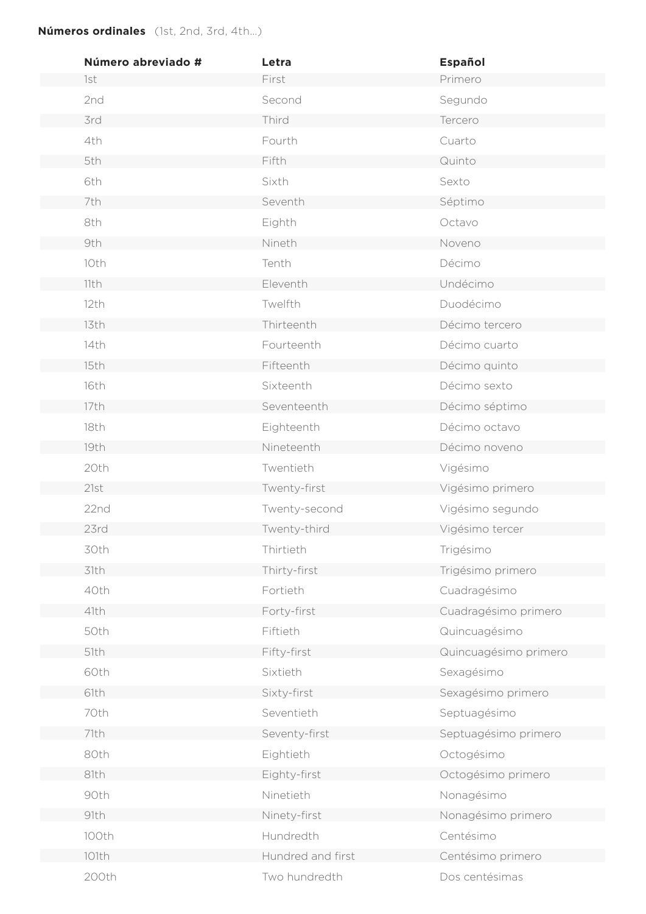# **Números ordinales** (1st, 2nd, 3rd, 4th…)

| Número abreviado # | Letra             | <b>Español</b>        |
|--------------------|-------------------|-----------------------|
| 1st                | First             | Primero               |
| 2nd                | Second            | Segundo               |
| 3rd                | Third             | Tercero               |
| 4th                | Fourth            | Cuarto                |
| 5th                | Fifth             | Quinto                |
| 6th                | Sixth             | Sexto                 |
| 7th                | Seventh           | Séptimo               |
| 8th                | Eighth            | Octavo                |
| 9th                | Nineth            | Noveno                |
| 10th               | Tenth             | Décimo                |
| 11th               | Eleventh          | Undécimo              |
| 12th               | Twelfth           | Duodécimo             |
| 13th               | Thirteenth        | Décimo tercero        |
| 14th               | Fourteenth        | Décimo cuarto         |
| 15th               | Fifteenth         | Décimo quinto         |
| 16th               | Sixteenth         | Décimo sexto          |
| 17th               | Seventeenth       | Décimo séptimo        |
| 18th               | Eighteenth        | Décimo octavo         |
| 19th               | Nineteenth        | Décimo noveno         |
| 20th               | Twentieth         | Vigésimo              |
| 21st               | Twenty-first      | Vigésimo primero      |
| 22nd               | Twenty-second     | Vigésimo segundo      |
| 23rd               | Twenty-third      | Vigésimo tercer       |
| 30th               | Thirtieth         | Trigésimo             |
| 31th               | Thirty-first      | Trigésimo primero     |
| 40th               | Fortieth          | Cuadragésimo          |
| 41th               | Forty-first       | Cuadragésimo primero  |
| 50th               | Fiftieth          | Quincuagésimo         |
| 51th               | Fifty-first       | Quincuagésimo primero |
| 60th               | Sixtieth          | Sexagésimo            |
| 61th               | Sixty-first       | Sexagésimo primero    |
| 70th               | Seventieth        | Septuagésimo          |
| 71th               | Seventy-first     | Septuagésimo primero  |
| 80th               | Eightieth         | Octogésimo            |
| 81th               | Eighty-first      | Octogésimo primero    |
| 90th               | Ninetieth         | Nonagésimo            |
| 91th               | Ninety-first      | Nonagésimo primero    |
| 100th              | Hundredth         | Centésimo             |
| 101th              | Hundred and first | Centésimo primero     |
| 200th              | Two hundredth     | Dos centésimas        |